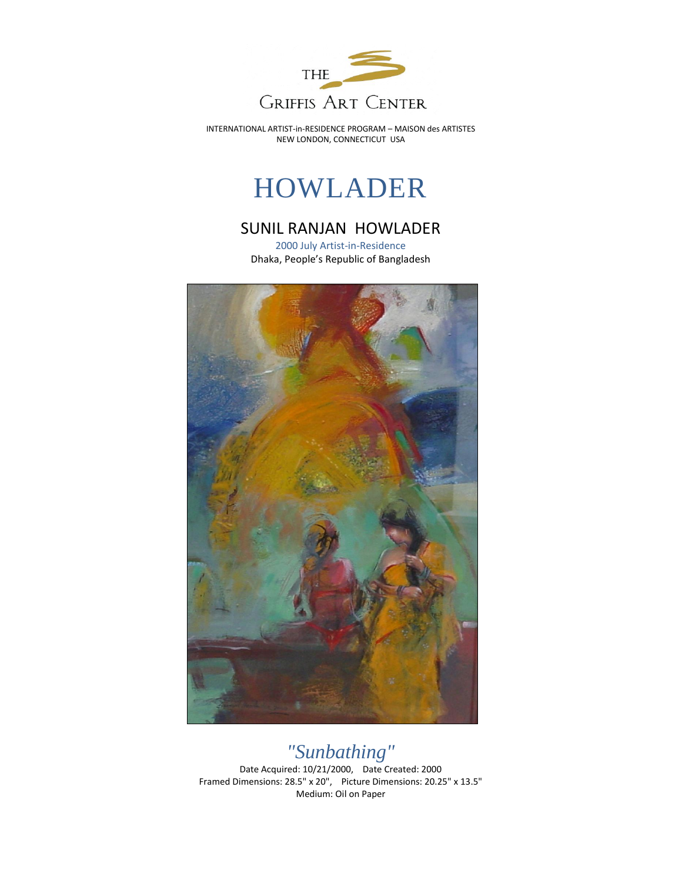

INTERNATIONAL ARTIST-in-RESIDENCE PROGRAM – MAISON des ARTISTES NEW LONDON, CONNECTICUT USA

## HOWLADER

## SUNIL RANJAN HOWLADER

2000 July Artist-in-Residence Dhaka, People's Republic of Bangladesh



## *"Sunbathing"*

Date Acquired: 10/21/2000, Date Created: 2000 Framed Dimensions: 28.5" x 20", Picture Dimensions: 20.25" x 13.5" Medium: Oil on Paper